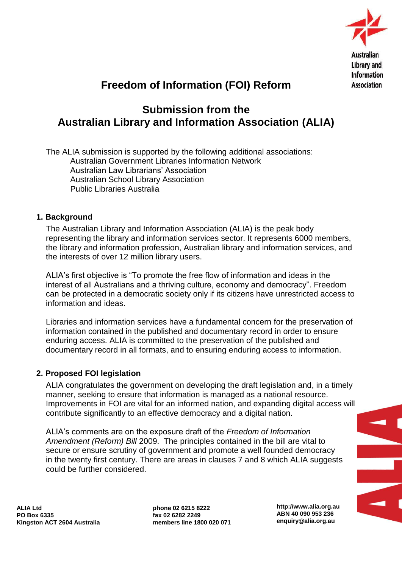

# **Freedom of Information (FOI) Reform**

## **Submission from the Australian Library and Information Association (ALIA)**

The ALIA submission is supported by the following additional associations: Australian Government Libraries Information Network Australian Law Librarians" Association Australian School Library Association Public Libraries Australia

#### **1. Background**

The Australian Library and Information Association (ALIA) is the peak body representing the library and information services sector. It represents 6000 members, the library and information profession, Australian library and information services, and the interests of over 12 million library users.

ALIA"s first objective is "To promote the free flow of information and ideas in the interest of all Australians and a thriving culture, economy and democracy". Freedom can be protected in a democratic society only if its citizens have unrestricted access to information and ideas.

Libraries and information services have a fundamental concern for the preservation of information contained in the published and documentary record in order to ensure enduring access. ALIA is committed to the preservation of the published and documentary record in all formats, and to ensuring enduring access to information.

#### **2. Proposed FOI legislation**

ALIA congratulates the government on developing the draft legislation and, in a timely manner, seeking to ensure that information is managed as a national resource. Improvements in FOI are vital for an informed nation, and expanding digital access will contribute significantly to an effective democracy and a digital nation.

ALIA"s comments are on the exposure draft of the *Freedom of Information Amendment (Reform) Bill* 2009. The principles contained in the bill are vital to secure or ensure scrutiny of government and promote a well founded democracy in the twenty first century. There are areas in clauses 7 and 8 which ALIA suggests could be further considered.

**ALIA Ltd PO Box 6335 Kingston ACT 2604 Australia** **phone 02 6215 8222 fax 02 6282 2249 members line 1800 020 071** **http://www.alia.org.au ABN 40 090 953 236 enquiry@alia.org.au**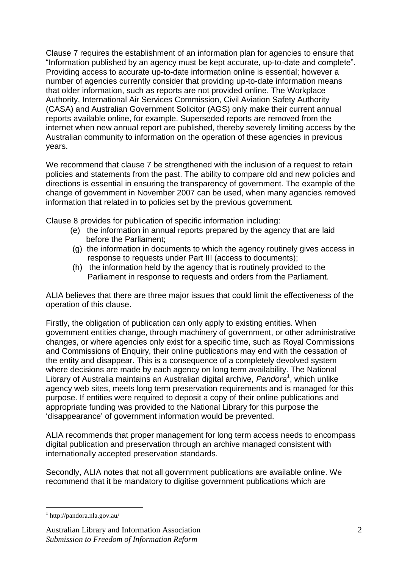Clause 7 requires the establishment of an information plan for agencies to ensure that "Information published by an agency must be kept accurate, up-to-date and complete". Providing access to accurate up-to-date information online is essential; however a number of agencies currently consider that providing up-to-date information means that older information, such as reports are not provided online. The Workplace Authority, International Air Services Commission, Civil Aviation Safety Authority (CASA) and Australian Government Solicitor (AGS) only make their current annual reports available online, for example. Superseded reports are removed from the internet when new annual report are published, thereby severely limiting access by the Australian community to information on the operation of these agencies in previous years.

We recommend that clause 7 be strengthened with the inclusion of a request to retain policies and statements from the past. The ability to compare old and new policies and directions is essential in ensuring the transparency of government. The example of the change of government in November 2007 can be used, when many agencies removed information that related in to policies set by the previous government.

Clause 8 provides for publication of specific information including:

- (e) the information in annual reports prepared by the agency that are laid before the Parliament;
- (g) the information in documents to which the agency routinely gives access in response to requests under Part III (access to documents);
- (h) the information held by the agency that is routinely provided to the Parliament in response to requests and orders from the Parliament.

ALIA believes that there are three major issues that could limit the effectiveness of the operation of this clause.

Firstly, the obligation of publication can only apply to existing entities. When government entities change, through machinery of government, or other administrative changes, or where agencies only exist for a specific time, such as Royal Commissions and Commissions of Enquiry, their online publications may end with the cessation of the entity and disappear. This is a consequence of a completely devolved system where decisions are made by each agency on long term availability. The National Library of Australia maintains an Australian digital archive, *Pandora<sup>1</sup>* , which unlike agency web sites, meets long term preservation requirements and is managed for this purpose. If entities were required to deposit a copy of their online publications and appropriate funding was provided to the National Library for this purpose the "disappearance" of government information would be prevented.

ALIA recommends that proper management for long term access needs to encompass digital publication and preservation through an archive managed consistent with internationally accepted preservation standards.

Secondly, ALIA notes that not all government publications are available online. We recommend that it be mandatory to digitise government publications which are

<sup>1</sup> http://pandora.nla.gov.au/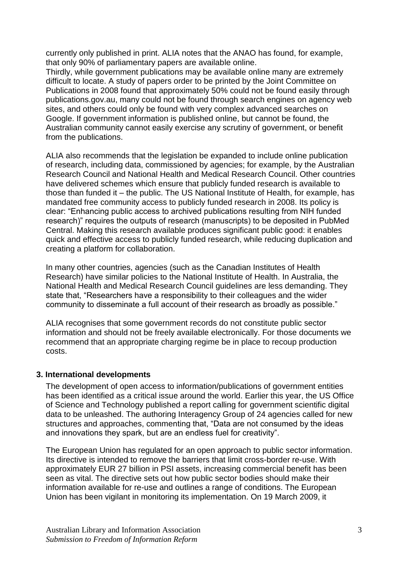currently only published in print. ALIA notes that the ANAO has found, for example, that only 90% of parliamentary papers are available online.

Thirdly, while government publications may be available online many are extremely difficult to locate. A study of papers order to be printed by the Joint Committee on Publications in 2008 found that approximately 50% could not be found easily through publications.gov.au, many could not be found through search engines on agency web sites, and others could only be found with very complex advanced searches on Google. If government information is published online, but cannot be found, the Australian community cannot easily exercise any scrutiny of government, or benefit from the publications.

ALIA also recommends that the legislation be expanded to include online publication of research, including data, commissioned by agencies; for example, by the Australian Research Council and National Health and Medical Research Council. Other countries have delivered schemes which ensure that publicly funded research is available to those than funded it – the public. The US National Institute of Health, for example, has mandated free community access to publicly funded research in 2008. Its policy is clear: "Enhancing public access to archived publications resulting from NIH funded research)" requires the outputs of research (manuscripts) to be deposited in PubMed Central. Making this research available produces significant public good: it enables quick and effective access to publicly funded research, while reducing duplication and creating a platform for collaboration.

In many other countries, agencies (such as the Canadian Institutes of Health Research) have similar policies to the National Institute of Health. In Australia, the National Health and Medical Research Council guidelines are less demanding. They state that, "Researchers have a responsibility to their colleagues and the wider community to disseminate a full account of their research as broadly as possible."

ALIA recognises that some government records do not constitute public sector information and should not be freely available electronically. For those documents we recommend that an appropriate charging regime be in place to recoup production costs.

#### **3. International developments**

The development of open access to information/publications of government entities has been identified as a critical issue around the world. Earlier this year, the US Office of Science and Technology published a report calling for government scientific digital data to be unleashed. The authoring Interagency Group of 24 agencies called for new structures and approaches, commenting that, "Data are not consumed by the ideas and innovations they spark, but are an endless fuel for creativity".

The European Union has regulated for an open approach to public sector information. Its directive is intended to remove the barriers that limit cross-border re-use. With approximately EUR 27 billion in PSI assets, increasing commercial benefit has been seen as vital. The directive sets out how public sector bodies should make their information available for re-use and outlines a range of conditions. The European Union has been vigilant in monitoring its implementation. On 19 March 2009, it